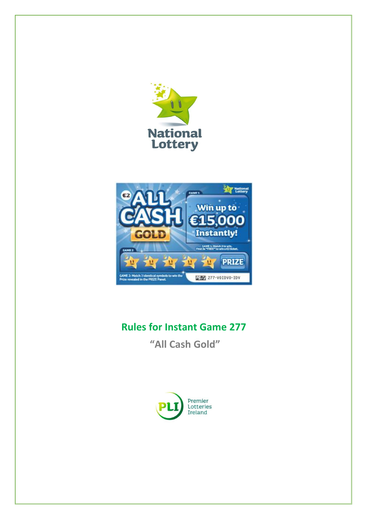



# **Rules for Instant Game 277**

**"All Cash Gold"** 

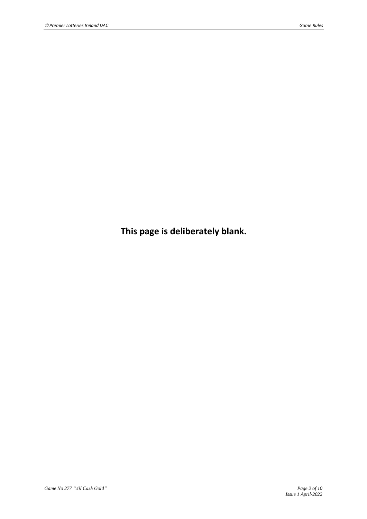**This page is deliberately blank.**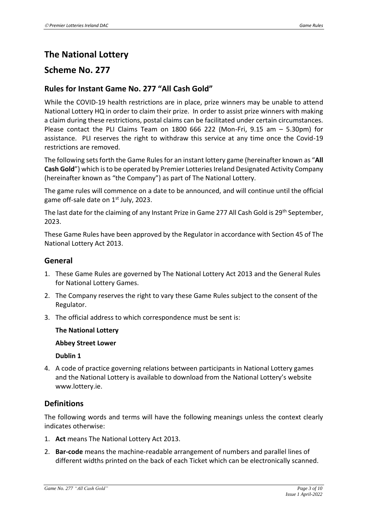# **The National Lottery**

# **Scheme No. 277**

### **Rules for Instant Game No. 277 "All Cash Gold"**

While the COVID-19 health restrictions are in place, prize winners may be unable to attend National Lottery HQ in order to claim their prize. In order to assist prize winners with making a claim during these restrictions, postal claims can be facilitated under certain circumstances. Please contact the PLI Claims Team on 1800 666 222 (Mon-Fri, 9.15 am – 5.30pm) for assistance. PLI reserves the right to withdraw this service at any time once the Covid-19 restrictions are removed.

The following sets forth the Game Rules for an instant lottery game (hereinafter known as "**All Cash Gold**") which isto be operated by Premier Lotteries Ireland Designated Activity Company (hereinafter known as "the Company") as part of The National Lottery.

The game rules will commence on a date to be announced, and will continue until the official game off-sale date on 1<sup>st</sup> July, 2023.

The last date for the claiming of any Instant Prize in Game 277 All Cash Gold is 29<sup>th</sup> September, 2023.

These Game Rules have been approved by the Regulator in accordance with Section 45 of The National Lottery Act 2013.

### **General**

- 1. These Game Rules are governed by The National Lottery Act 2013 and the General Rules for National Lottery Games.
- 2. The Company reserves the right to vary these Game Rules subject to the consent of the Regulator.
- 3. The official address to which correspondence must be sent is:

### **The National Lottery**

### **Abbey Street Lower**

### **Dublin 1**

4. A code of practice governing relations between participants in National Lottery games and the National Lottery is available to download from the National Lottery's website www.lottery.ie.

### **Definitions**

The following words and terms will have the following meanings unless the context clearly indicates otherwise:

- 1. **Act** means The National Lottery Act 2013.
- 2. **Bar-code** means the machine-readable arrangement of numbers and parallel lines of different widths printed on the back of each Ticket which can be electronically scanned.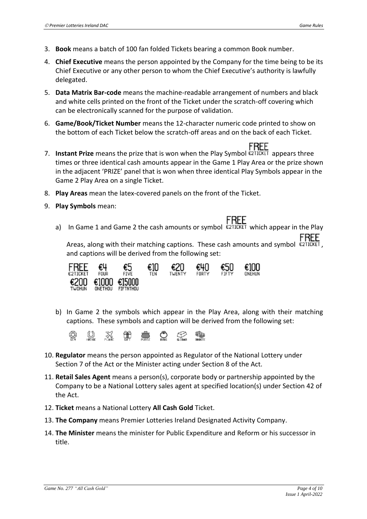- 3. **Book** means a batch of 100 fan folded Tickets bearing a common Book number.
- 4. **Chief Executive** means the person appointed by the Company for the time being to be its Chief Executive or any other person to whom the Chief Executive's authority is lawfully delegated.
- 5. **Data Matrix Bar-code** means the machine-readable arrangement of numbers and black and white cells printed on the front of the Ticket under the scratch-off covering which can be electronically scanned for the purpose of validation.
- 6. **Game/Book/Ticket Number** means the 12-character numeric code printed to show on the bottom of each Ticket below the scratch-off areas and on the back of each Ticket.
- FRFF 7. **Instant Prize** means the prize that is won when the Play Symbol  $\epsilon$ <sup>2†</sup> 10<sup>2</sup> appears three times or three identical cash amounts appear in the Game 1 Play Area or the prize shown in the adjacent 'PRIZE' panel that is won when three identical Play Symbols appear in the Game 2 Play Area on a single Ticket.
- 8. **Play Areas** mean the latex-covered panels on the front of the Ticket.
- 9. **Play Symbols** mean:
	- FRFF a) In Game 1 and Game 2 the cash amounts or symbol  $\epsilon$ <sup>2</sup>TICKET which appear in the Play Areas, along with their matching captions. These cash amounts and symbol  $\dot{\epsilon}$ 210KET, and captions will be derived from the following set:



b) In Game 2 the symbols which appear in the Play Area, along with their matching captions. These symbols and caption will be derived from the following set:



- 10. **Regulator** means the person appointed as Regulator of the National Lottery under Section 7 of the Act or the Minister acting under Section 8 of the Act.
- 11. **Retail Sales Agent** means a person(s), corporate body or partnership appointed by the Company to be a National Lottery sales agent at specified location(s) under Section 42 of the Act.
- 12. **Ticket** means a National Lottery **All Cash Gold** Ticket.
- 13. **The Company** means Premier Lotteries Ireland Designated Activity Company.
- 14. **The Minister** means the minister for Public Expenditure and Reform or his successor in title.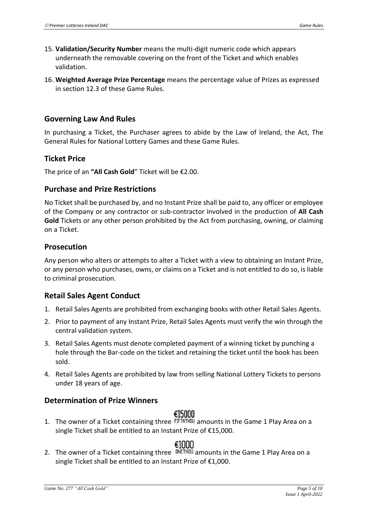- 15. **Validation/Security Number** means the multi-digit numeric code which appears underneath the removable covering on the front of the Ticket and which enables validation.
- 16. **Weighted Average Prize Percentage** means the percentage value of Prizes as expressed in section 12.3 of these Game Rules.

### **Governing Law And Rules**

In purchasing a Ticket, the Purchaser agrees to abide by the Law of Ireland, the Act, The General Rules for National Lottery Games and these Game Rules.

### **Ticket Price**

The price of an **"All Cash Gold**" Ticket will be €2.00.

### **Purchase and Prize Restrictions**

No Ticket shall be purchased by, and no Instant Prize shall be paid to, any officer or employee of the Company or any contractor or sub-contractor involved in the production of **All Cash Gold** Tickets or any other person prohibited by the Act from purchasing, owning, or claiming on a Ticket.

### **Prosecution**

Any person who alters or attempts to alter a Ticket with a view to obtaining an Instant Prize, or any person who purchases, owns, or claims on a Ticket and is not entitled to do so, is liable to criminal prosecution.

### **Retail Sales Agent Conduct**

- 1. Retail Sales Agents are prohibited from exchanging books with other Retail Sales Agents.
- 2. Prior to payment of any Instant Prize, Retail Sales Agents must verify the win through the central validation system.
- 3. Retail Sales Agents must denote completed payment of a winning ticket by punching a hole through the Bar-code on the ticket and retaining the ticket until the book has been sold.
- 4. Retail Sales Agents are prohibited by law from selling National Lottery Tickets to persons under 18 years of age.

### **Determination of Prize Winners**

# €15000

1. The owner of a Ticket containing three FIFTNTHOU amounts in the Game 1 Play Area on a single Ticket shall be entitled to an Instant Prize of €15,000.

## €JNUU

2. The owner of a Ticket containing three <sup>ONETHOU</sup> amounts in the Game 1 Play Area on a single Ticket shall be entitled to an Instant Prize of €1,000.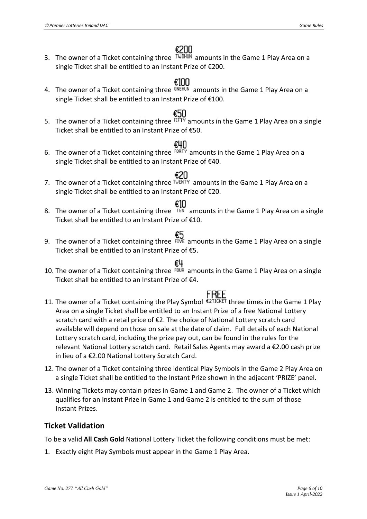<sup>€200</sup> €200 E200<br>3. The owner of a Ticket containing three <sup>TWOHUN</sup> amounts in the Game 1 Play Area on a single Ticket shall be entitled to an Instant Prize of €200.

# €100

4. The owner of a Ticket containing three <sup>ONEHUN</sup> amounts in the Game 1 Play Area on a single Ticket shall be entitled to an Instant Prize of €100.

5. The owner of a Ticket containing three FIFTY amounts in the Game 1 Play Area on a single Ticket shall be entitled to an Instant Prize of €50.

### €40

- 6. The owner of a Ticket containing three FORTY amounts in the Game 1 Play Area on a single Ticket shall be entitled to an Instant Prize of €40.
- €20 7. The owner of a Ticket containing three  $\overline{IWEN}$  amounts in the Game 1 Play Area on a single Ticket shall be entitled to an Instant Prize of €20.

8. The owner of a Ticket containing three  $\overline{f}$  amounts in the Game 1 Play Area on a single Ticket shall be entitled to an Instant Prize of €10.

9. The owner of a Ticket containing three  $\overline{r}$  amounts in the Game 1 Play Area on a single Ticket shall be entitled to an Instant Prize of €5.

## €4

10. The owner of a Ticket containing three  $F^{OUB}$  amounts in the Game 1 Play Area on a single Ticket shall be entitled to an Instant Prize of €4.

# Free

- 11. The owner of a Ticket containing the Play Symbol  $\epsilon$ <sup>2TICKET</sup> three times in the Game 1 Play Area on a single Ticket shall be entitled to an Instant Prize of a free National Lottery scratch card with a retail price of €2. The choice of National Lottery scratch card available will depend on those on sale at the date of claim. Full details of each National Lottery scratch card, including the prize pay out, can be found in the rules for the relevant National Lottery scratch card. Retail Sales Agents may award a €2.00 cash prize in lieu of a €2.00 National Lottery Scratch Card.
- 12. The owner of a Ticket containing three identical Play Symbols in the Game 2 Play Area on a single Ticket shall be entitled to the Instant Prize shown in the adjacent 'PRIZE' panel.
- 13. Winning Tickets may contain prizes in Game 1 and Game 2. The owner of a Ticket which qualifies for an Instant Prize in Game 1 and Game 2 is entitled to the sum of those Instant Prizes.

### **Ticket Validation**

To be a valid **All Cash Gold** National Lottery Ticket the following conditions must be met:

1. Exactly eight Play Symbols must appear in the Game 1 Play Area.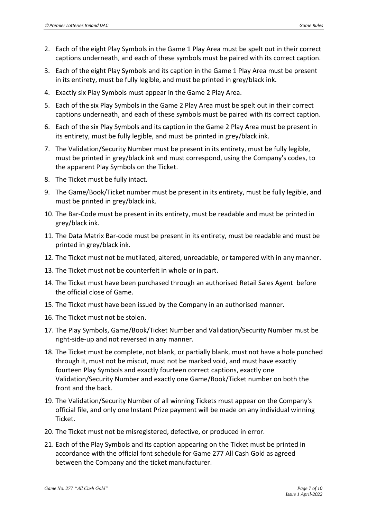- 2. Each of the eight Play Symbols in the Game 1 Play Area must be spelt out in their correct captions underneath, and each of these symbols must be paired with its correct caption.
- 3. Each of the eight Play Symbols and its caption in the Game 1 Play Area must be present in its entirety, must be fully legible, and must be printed in grey/black ink.
- 4. Exactly six Play Symbols must appear in the Game 2 Play Area.
- 5. Each of the six Play Symbols in the Game 2 Play Area must be spelt out in their correct captions underneath, and each of these symbols must be paired with its correct caption.
- 6. Each of the six Play Symbols and its caption in the Game 2 Play Area must be present in its entirety, must be fully legible, and must be printed in grey/black ink.
- 7. The Validation/Security Number must be present in its entirety, must be fully legible, must be printed in grey/black ink and must correspond, using the Company's codes, to the apparent Play Symbols on the Ticket.
- 8. The Ticket must be fully intact.
- 9. The Game/Book/Ticket number must be present in its entirety, must be fully legible, and must be printed in grey/black ink.
- 10. The Bar-Code must be present in its entirety, must be readable and must be printed in grey/black ink.
- 11. The Data Matrix Bar-code must be present in its entirety, must be readable and must be printed in grey/black ink.
- 12. The Ticket must not be mutilated, altered, unreadable, or tampered with in any manner.
- 13. The Ticket must not be counterfeit in whole or in part.
- 14. The Ticket must have been purchased through an authorised Retail Sales Agent before the official close of Game.
- 15. The Ticket must have been issued by the Company in an authorised manner.
- 16. The Ticket must not be stolen.
- 17. The Play Symbols, Game/Book/Ticket Number and Validation/Security Number must be right-side-up and not reversed in any manner.
- 18. The Ticket must be complete, not blank, or partially blank, must not have a hole punched through it, must not be miscut, must not be marked void, and must have exactly fourteen Play Symbols and exactly fourteen correct captions, exactly one Validation/Security Number and exactly one Game/Book/Ticket number on both the front and the back.
- 19. The Validation/Security Number of all winning Tickets must appear on the Company's official file, and only one Instant Prize payment will be made on any individual winning Ticket.
- 20. The Ticket must not be misregistered, defective, or produced in error.
- 21. Each of the Play Symbols and its caption appearing on the Ticket must be printed in accordance with the official font schedule for Game 277 All Cash Gold as agreed between the Company and the ticket manufacturer.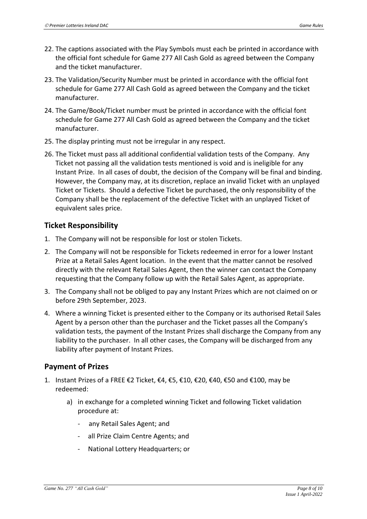- 22. The captions associated with the Play Symbols must each be printed in accordance with the official font schedule for Game 277 All Cash Gold as agreed between the Company and the ticket manufacturer.
- 23. The Validation/Security Number must be printed in accordance with the official font schedule for Game 277 All Cash Gold as agreed between the Company and the ticket manufacturer.
- 24. The Game/Book/Ticket number must be printed in accordance with the official font schedule for Game 277 All Cash Gold as agreed between the Company and the ticket manufacturer.
- 25. The display printing must not be irregular in any respect.
- 26. The Ticket must pass all additional confidential validation tests of the Company. Any Ticket not passing all the validation tests mentioned is void and is ineligible for any Instant Prize. In all cases of doubt, the decision of the Company will be final and binding. However, the Company may, at its discretion, replace an invalid Ticket with an unplayed Ticket or Tickets. Should a defective Ticket be purchased, the only responsibility of the Company shall be the replacement of the defective Ticket with an unplayed Ticket of equivalent sales price.

### **Ticket Responsibility**

- 1. The Company will not be responsible for lost or stolen Tickets.
- 2. The Company will not be responsible for Tickets redeemed in error for a lower Instant Prize at a Retail Sales Agent location. In the event that the matter cannot be resolved directly with the relevant Retail Sales Agent, then the winner can contact the Company requesting that the Company follow up with the Retail Sales Agent, as appropriate.
- 3. The Company shall not be obliged to pay any Instant Prizes which are not claimed on or before 29th September, 2023.
- 4. Where a winning Ticket is presented either to the Company or its authorised Retail Sales Agent by a person other than the purchaser and the Ticket passes all the Company's validation tests, the payment of the Instant Prizes shall discharge the Company from any liability to the purchaser. In all other cases, the Company will be discharged from any liability after payment of Instant Prizes.

### **Payment of Prizes**

- 1. Instant Prizes of a FREE €2 Ticket, €4, €5, €10, €20, €40, €50 and €100, may be redeemed:
	- a) in exchange for a completed winning Ticket and following Ticket validation procedure at:
		- any Retail Sales Agent; and
		- all Prize Claim Centre Agents; and
		- National Lottery Headquarters; or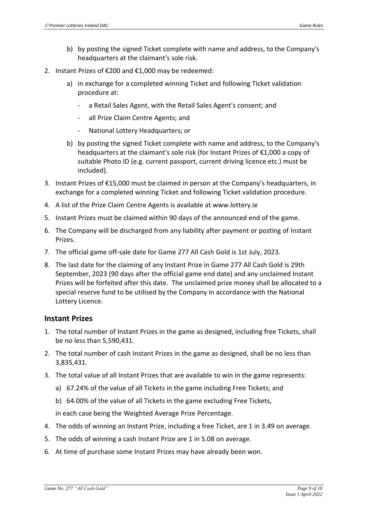- b) by posting the signed Ticket complete with name and address, to the Company's headquarters at the claimant's sole risk.
- 2. Instant Prizes of €200 and €1,000 may be redeemed:
	- a) in exchange for a completed winning Ticket and following Ticket validation procedure at:
		- a Retail Sales Agent, with the Retail Sales Agent's consent; and
		- all Prize Claim Centre Agents; and
		- National Lottery Headquarters; or
	- b) by posting the signed Ticket complete with name and address, to the Company's headquarters at the claimant's sole risk (for Instant Prizes of €1,000 a copy of suitable Photo ID (e.g. current passport, current driving licence etc.) must be included).
- 3. Instant Prizes of €15,000 must be claimed in person at the Company's headquarters, in exchange for a completed winning Ticket and following Ticket validation procedure.
- 4. A list of the Prize Claim Centre Agents is available at www.lottery.ie
- 5. Instant Prizes must be claimed within 90 days of the announced end of the game.
- 6. The Company will be discharged from any liability after payment or posting of Instant Prizes.
- 7. The official game off-sale date for Game 277 All Cash Gold is 1st July, 2023.
- 8. The last date for the claiming of any Instant Prize in Game 277 All Cash Gold is 29th September, 2023 (90 days after the official game end date) and any unclaimed Instant Prizes will be forfeited after this date. The unclaimed prize money shall be allocated to a special reserve fund to be utilised by the Company in accordance with the National Lottery Licence.

### **Instant Prizes**

- 1. The total number of Instant Prizes in the game as designed, including free Tickets, shall be no less than 5,590,431.
- 2. The total number of cash Instant Prizes in the game as designed, shall be no less than 3,835,431.
- 3. The total value of all Instant Prizes that are available to win in the game represents:
	- a) 67.24% of the value of all Tickets in the game including Free Tickets; and
	- b) 64.00% of the value of all Tickets in the game excluding Free Tickets,

in each case being the Weighted Average Prize Percentage.

- 4. The odds of winning an Instant Prize, including a free Ticket, are 1 in 3.49 on average.
- 5. The odds of winning a cash Instant Prize are 1 in 5.08 on average.
- 6. At time of purchase some Instant Prizes may have already been won.